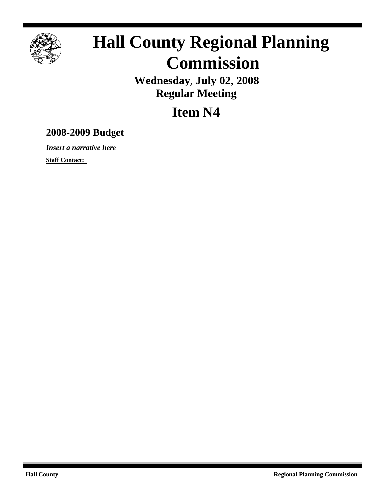

# **Hall County Regional Planning Commission**

**Wednesday, July 02, 2008 Regular Meeting**

## **Item N4**

### **2008-2009 Budget**

*Insert a narrative here*

**Staff Contact:**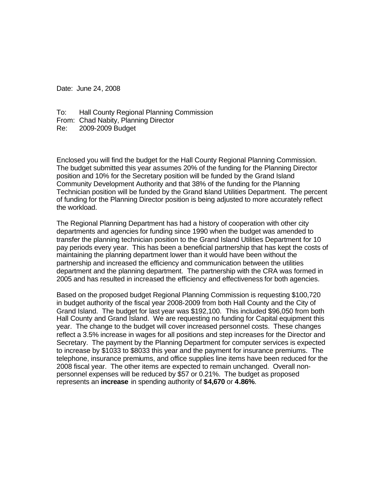Date: June 24, 2008

To: Hall County Regional Planning Commission From: Chad Nabity, Planning Director Re: 2009-2009 Budget

Enclosed you will find the budget for the Hall County Regional Planning Commission. The budget submitted this year assumes 20% of the funding for the Planning Director position and 10% for the Secretary position will be funded by the Grand Island Community Development Authority and that 38% of the funding for the Planning Technician position will be funded by the Grand Island Utilities Department. The percent of funding for the Planning Director position is being adjusted to more accurately reflect the workload.

The Regional Planning Department has had a history of cooperation with other city departments and agencies for funding since 1990 when the budget was amended to transfer the planning technician position to the Grand Island Utilities Department for 10 pay periods every year. This has been a beneficial partnership that has kept the costs of maintaining the planning department lower than it would have been without the partnership and increased the efficiency and communication between the utilities department and the planning department. The partnership with the CRA was formed in 2005 and has resulted in increased the efficiency and effectiveness for both agencies.

Based on the proposed budget Regional Planning Commission is requesting \$100,720 in budget authority of the fiscal year 2008-2009 from both Hall County and the City of Grand Island. The budget for last year was \$192,100. This included \$96,050 from both Hall County and Grand Island. We are requesting no funding for Capital equipment this year. The change to the budget will cover increased personnel costs. These changes reflect a 3.5% increase in wages for all positions and step increases for the Director and Secretary. The payment by the Planning Department for computer services is expected to increase by \$1033 to \$8033 this year and the payment for insurance premiums. The telephone, insurance premiums, and office supplies line items have been reduced for the 2008 fiscal year. The other items are expected to remain unchanged. Overall nonpersonnel expenses will be reduced by \$57 or 0.21%. The budget as proposed represents an **increase** in spending authority of **\$4,670** or **4.86%**.